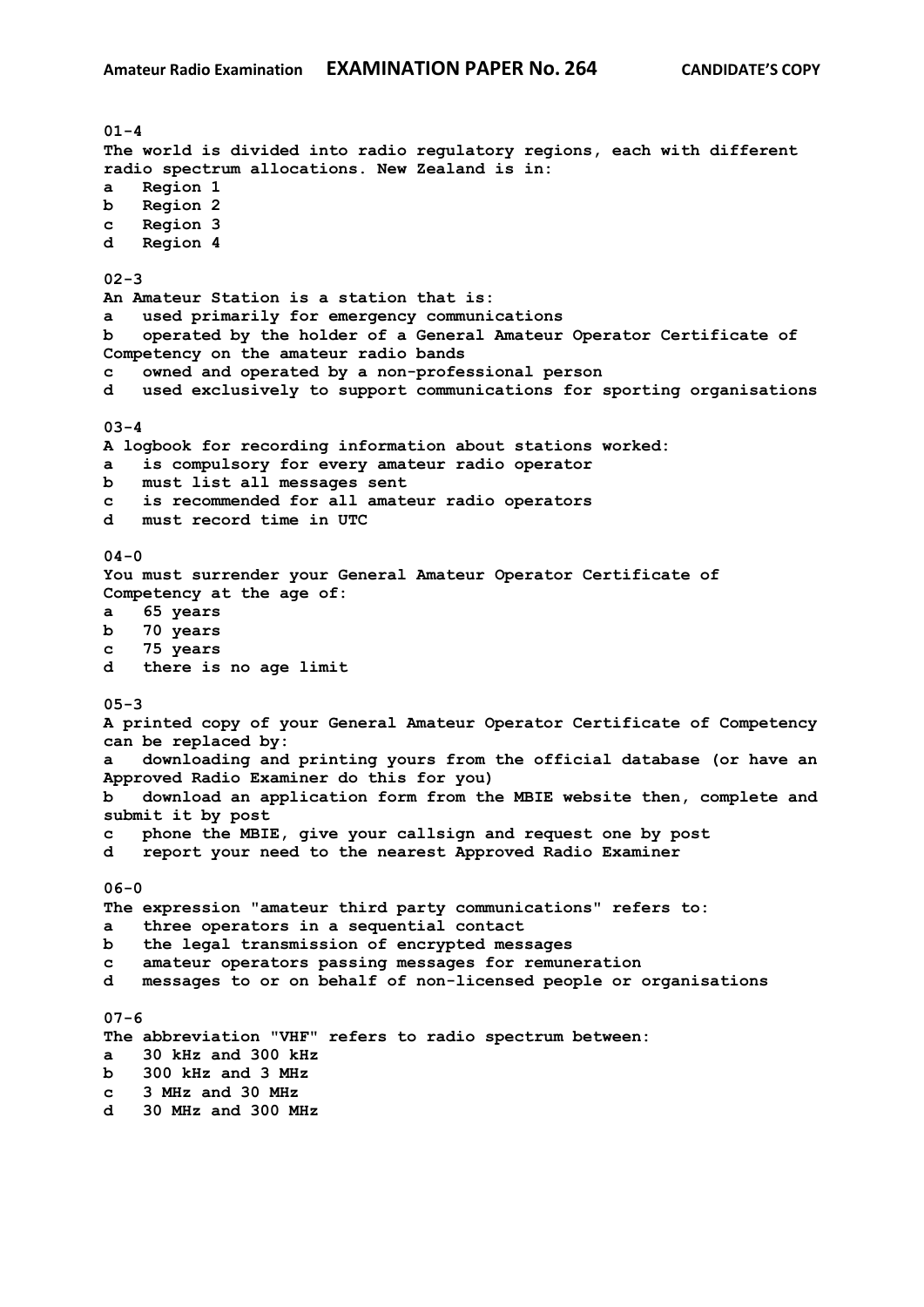**01-4 The world is divided into radio regulatory regions, each with different radio spectrum allocations. New Zealand is in: a Region 1 b Region 2 c Region 3 d Region 4 02-3 An Amateur Station is a station that is: a used primarily for emergency communications b operated by the holder of a General Amateur Operator Certificate of Competency on the amateur radio bands c owned and operated by a non-professional person d used exclusively to support communications for sporting organisations 03-4 A logbook for recording information about stations worked: a is compulsory for every amateur radio operator b must list all messages sent c is recommended for all amateur radio operators d must record time in UTC 04-0 You must surrender your General Amateur Operator Certificate of Competency at the age of: a 65 years b 70 years c 75 years d there is no age limit 05-3 A printed copy of your General Amateur Operator Certificate of Competency can be replaced by: a downloading and printing yours from the official database (or have an Approved Radio Examiner do this for you) b download an application form from the MBIE website then, complete and submit it by post c phone the MBIE, give your callsign and request one by post d report your need to the nearest Approved Radio Examiner 06-0 The expression "amateur third party communications" refers to: a three operators in a sequential contact b the legal transmission of encrypted messages c amateur operators passing messages for remuneration d messages to or on behalf of non-licensed people or organisations 07-6 The abbreviation "VHF" refers to radio spectrum between: a 30 kHz and 300 kHz b 300 kHz and 3 MHz c 3 MHz and 30 MHz d 30 MHz and 300 MHz**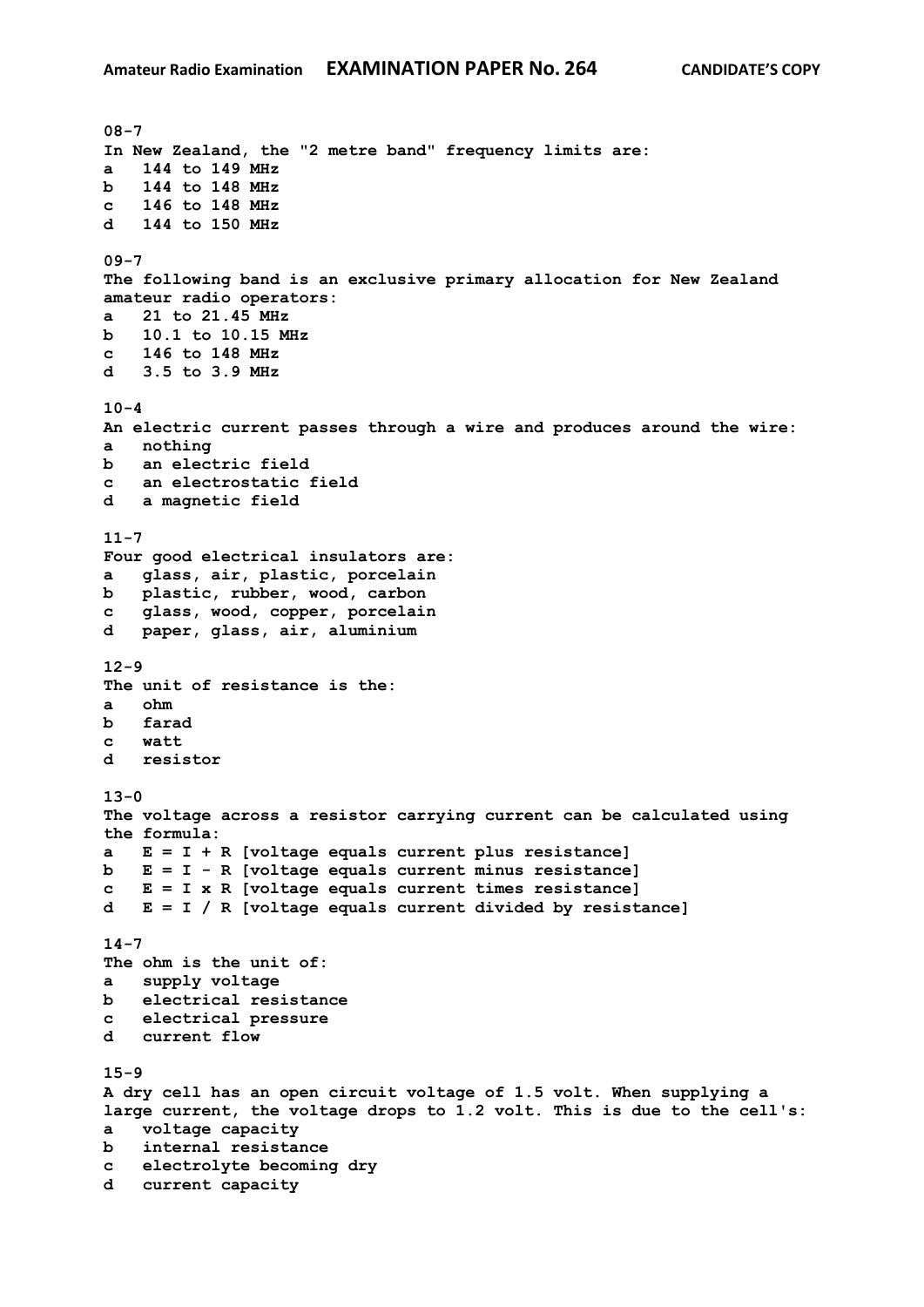**08-7 In New Zealand, the "2 metre band" frequency limits are: a 144 to 149 MHz b 144 to 148 MHz c 146 to 148 MHz d 144 to 150 MHz 09-7 The following band is an exclusive primary allocation for New Zealand amateur radio operators: a 21 to 21.45 MHz b 10.1 to 10.15 MHz c 146 to 148 MHz d 3.5 to 3.9 MHz 10-4 An electric current passes through a wire and produces around the wire: a nothing b an electric field c an electrostatic field d a magnetic field 11-7 Four good electrical insulators are: a glass, air, plastic, porcelain b plastic, rubber, wood, carbon c glass, wood, copper, porcelain d paper, glass, air, aluminium 12-9 The unit of resistance is the: a ohm b farad c watt d resistor 13-0 The voltage across a resistor carrying current can be calculated using the formula: a E = I + R [voltage equals current plus resistance] b E = I - R [voltage equals current minus resistance] c E = I x R [voltage equals current times resistance] d E = I / R [voltage equals current divided by resistance] 14-7 The ohm is the unit of: a supply voltage b electrical resistance c electrical pressure d current flow 15-9 A dry cell has an open circuit voltage of 1.5 volt. When supplying a large current, the voltage drops to 1.2 volt. This is due to the cell's: a voltage capacity b internal resistance c electrolyte becoming dry d current capacity**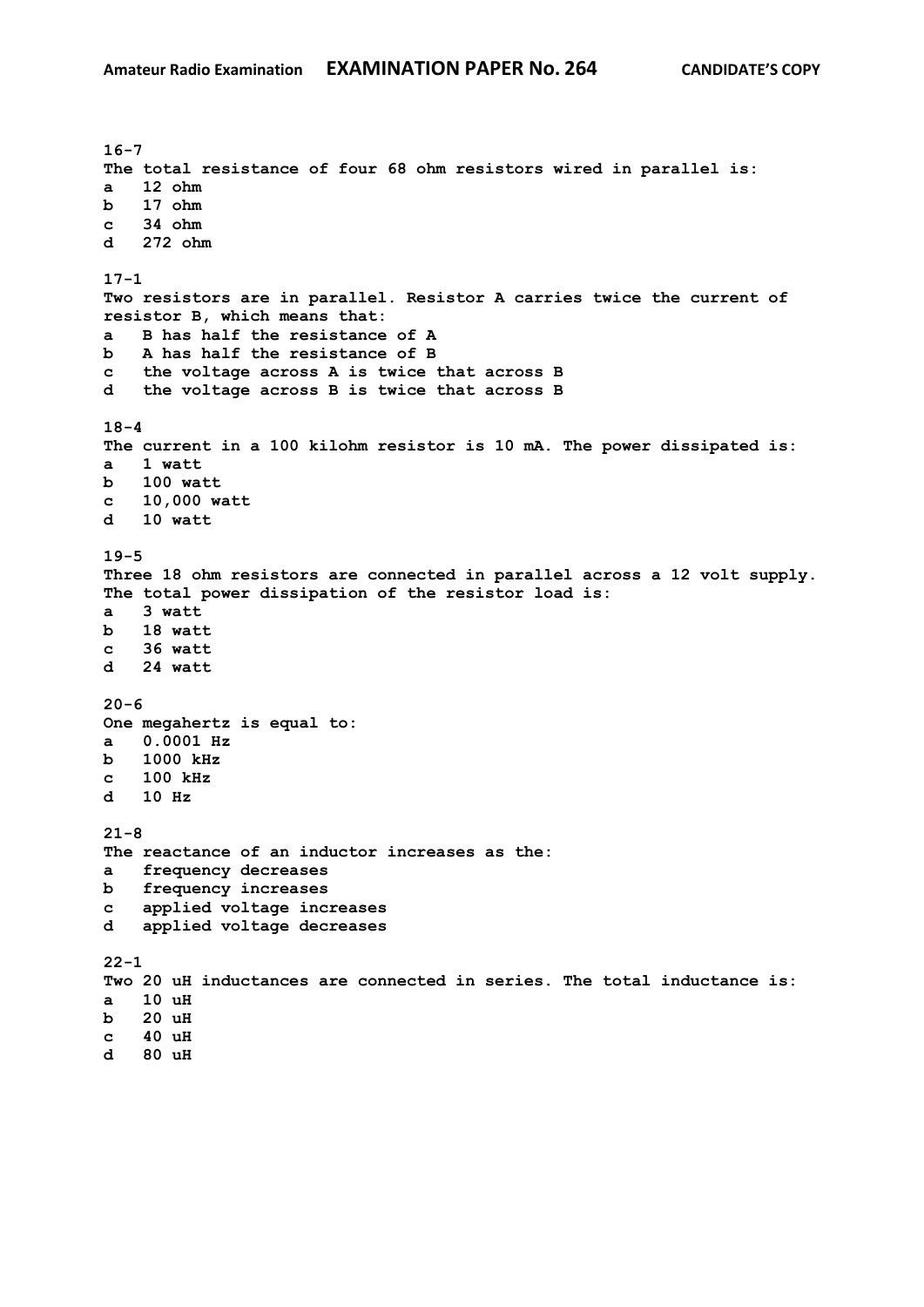**16-7 The total resistance of four 68 ohm resistors wired in parallel is: a 12 ohm b 17 ohm c 34 ohm d 272 ohm 17-1 Two resistors are in parallel. Resistor A carries twice the current of resistor B, which means that: a B has half the resistance of A b A has half the resistance of B c the voltage across A is twice that across B d the voltage across B is twice that across B 18-4 The current in a 100 kilohm resistor is 10 mA. The power dissipated is: a 1 watt b 100 watt c 10,000 watt d 10 watt 19-5 Three 18 ohm resistors are connected in parallel across a 12 volt supply. The total power dissipation of the resistor load is: a 3 watt b 18 watt c 36 watt d 24 watt 20-6 One megahertz is equal to: a 0.0001 Hz b 1000 kHz c 100 kHz d 10 Hz 21-8 The reactance of an inductor increases as the: a frequency decreases b frequency increases c applied voltage increases d applied voltage decreases 22-1 Two 20 uH inductances are connected in series. The total inductance is: a 10 uH b 20 uH c 40 uH d 80 uH**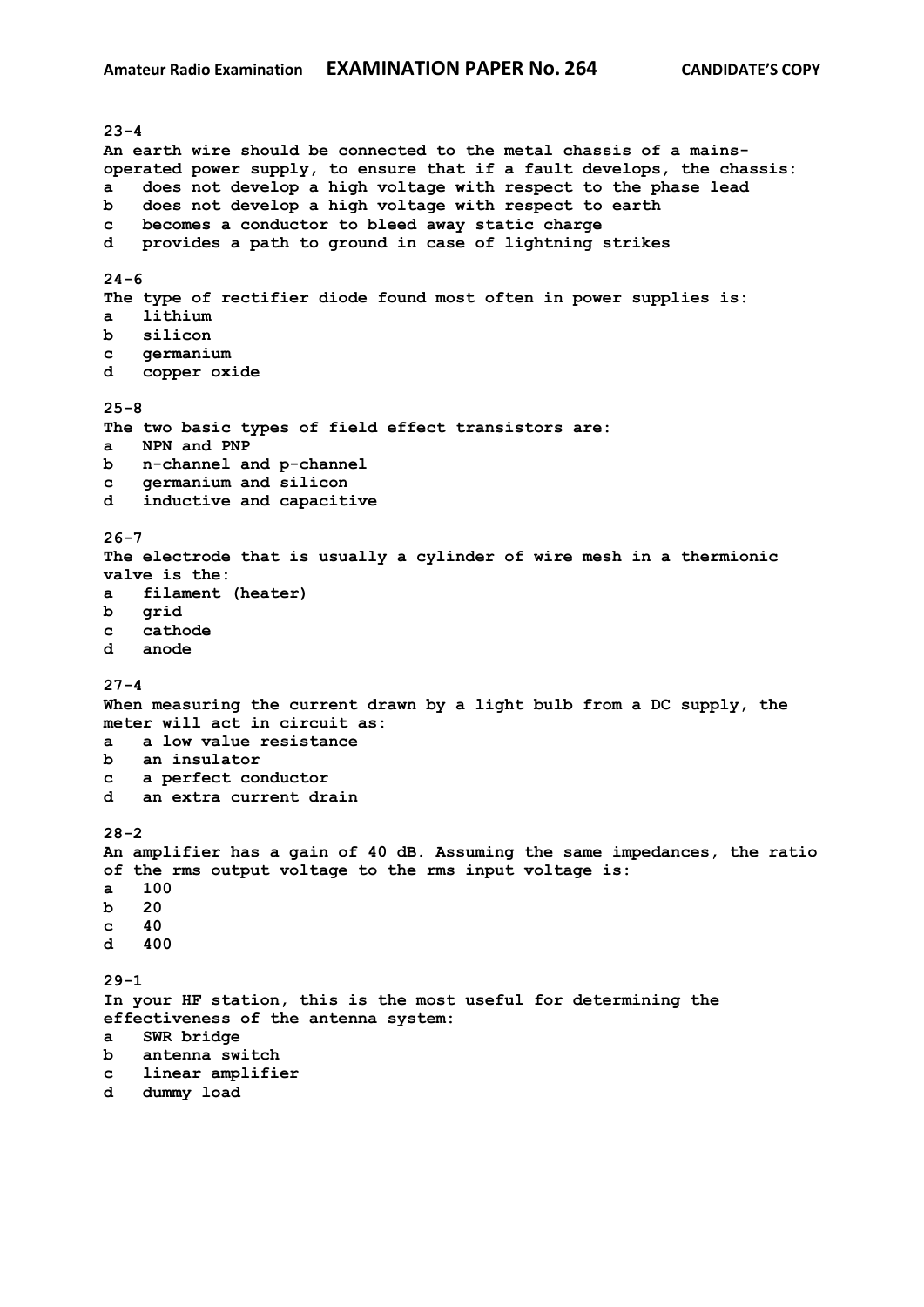**23-4 An earth wire should be connected to the metal chassis of a mainsoperated power supply, to ensure that if a fault develops, the chassis: a does not develop a high voltage with respect to the phase lead b does not develop a high voltage with respect to earth c becomes a conductor to bleed away static charge d provides a path to ground in case of lightning strikes 24-6 The type of rectifier diode found most often in power supplies is: a lithium b silicon c germanium d copper oxide 25-8 The two basic types of field effect transistors are: a NPN and PNP b n-channel and p-channel c germanium and silicon d inductive and capacitive 26-7 The electrode that is usually a cylinder of wire mesh in a thermionic valve is the: a filament (heater) b grid c cathode d anode 27-4 When measuring the current drawn by a light bulb from a DC supply, the meter will act in circuit as: a a low value resistance b an insulator c a perfect conductor d an extra current drain 28-2 An amplifier has a gain of 40 dB. Assuming the same impedances, the ratio of the rms output voltage to the rms input voltage is: a 100 b 20 c 40 d 400 29-1 In your HF station, this is the most useful for determining the effectiveness of the antenna system: a SWR bridge b antenna switch c linear amplifier d dummy load**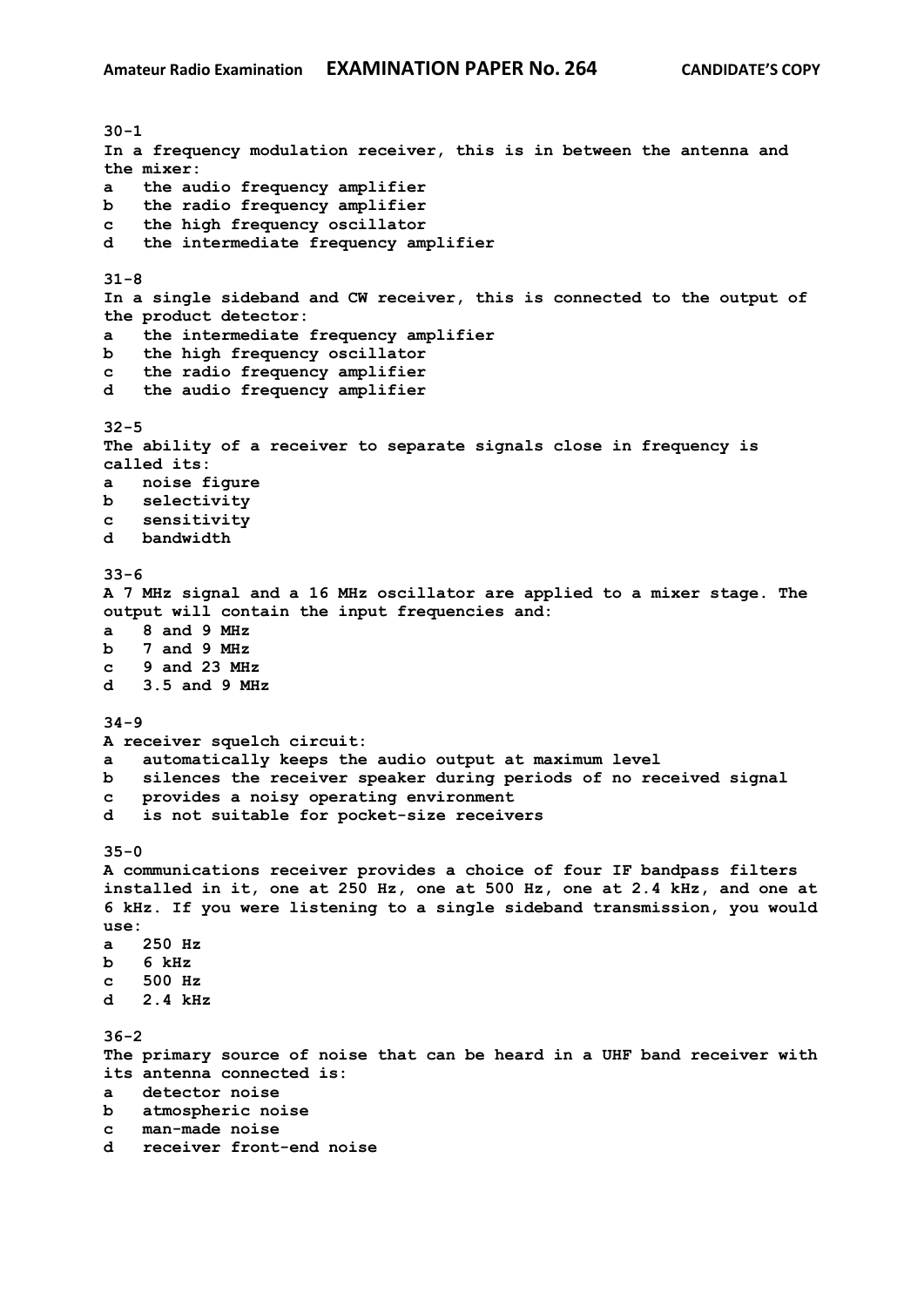**30-1 In a frequency modulation receiver, this is in between the antenna and the mixer: a the audio frequency amplifier b the radio frequency amplifier c the high frequency oscillator d the intermediate frequency amplifier 31-8 In a single sideband and CW receiver, this is connected to the output of the product detector: a the intermediate frequency amplifier b the high frequency oscillator c the radio frequency amplifier d the audio frequency amplifier 32-5 The ability of a receiver to separate signals close in frequency is called its: a noise figure b selectivity c sensitivity d bandwidth 33-6 A 7 MHz signal and a 16 MHz oscillator are applied to a mixer stage. The output will contain the input frequencies and: a 8 and 9 MHz b 7 and 9 MHz c 9 and 23 MHz d 3.5 and 9 MHz 34-9 A receiver squelch circuit: a automatically keeps the audio output at maximum level b silences the receiver speaker during periods of no received signal c provides a noisy operating environment d is not suitable for pocket-size receivers 35-0 A communications receiver provides a choice of four IF bandpass filters installed in it, one at 250 Hz, one at 500 Hz, one at 2.4 kHz, and one at 6 kHz. If you were listening to a single sideband transmission, you would use: a 250 Hz b 6 kHz c 500 Hz d 2.4 kHz 36-2 The primary source of noise that can be heard in a UHF band receiver with its antenna connected is: a detector noise b atmospheric noise c man-made noise d receiver front-end noise**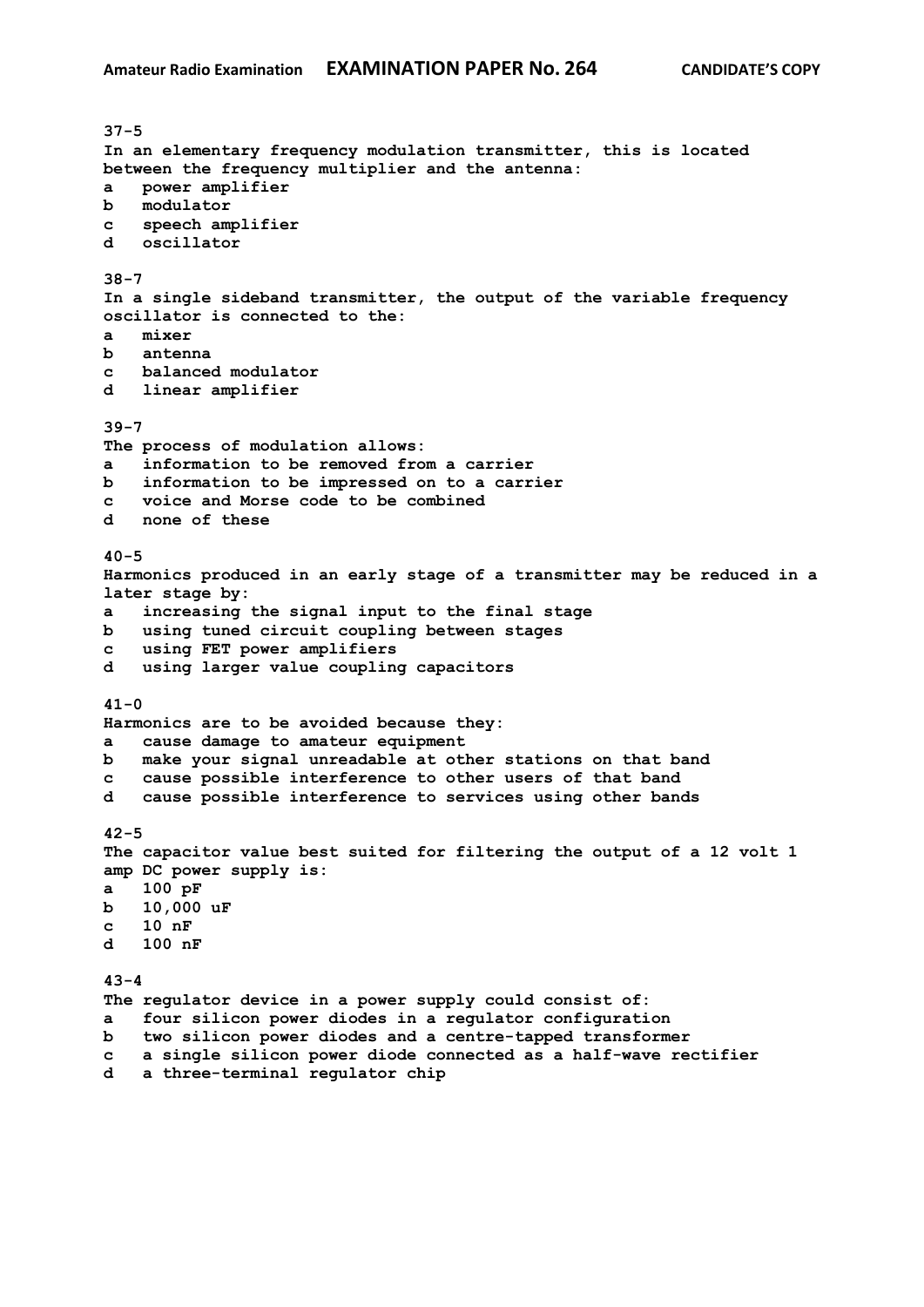**37-5 In an elementary frequency modulation transmitter, this is located between the frequency multiplier and the antenna: a power amplifier b modulator c speech amplifier d oscillator 38-7 In a single sideband transmitter, the output of the variable frequency oscillator is connected to the: a mixer b antenna c balanced modulator d linear amplifier 39-7 The process of modulation allows: a information to be removed from a carrier b information to be impressed on to a carrier c voice and Morse code to be combined d none of these 40-5 Harmonics produced in an early stage of a transmitter may be reduced in a later stage by: a increasing the signal input to the final stage b using tuned circuit coupling between stages c using FET power amplifiers d using larger value coupling capacitors 41-0 Harmonics are to be avoided because they: a cause damage to amateur equipment b make your signal unreadable at other stations on that band c cause possible interference to other users of that band d cause possible interference to services using other bands 42-5 The capacitor value best suited for filtering the output of a 12 volt 1 amp DC power supply is: a 100 pF b 10,000 uF c 10 nF d 100 nF 43-4 The regulator device in a power supply could consist of: a four silicon power diodes in a regulator configuration b two silicon power diodes and a centre-tapped transformer c a single silicon power diode connected as a half-wave rectifier d a three-terminal regulator chip**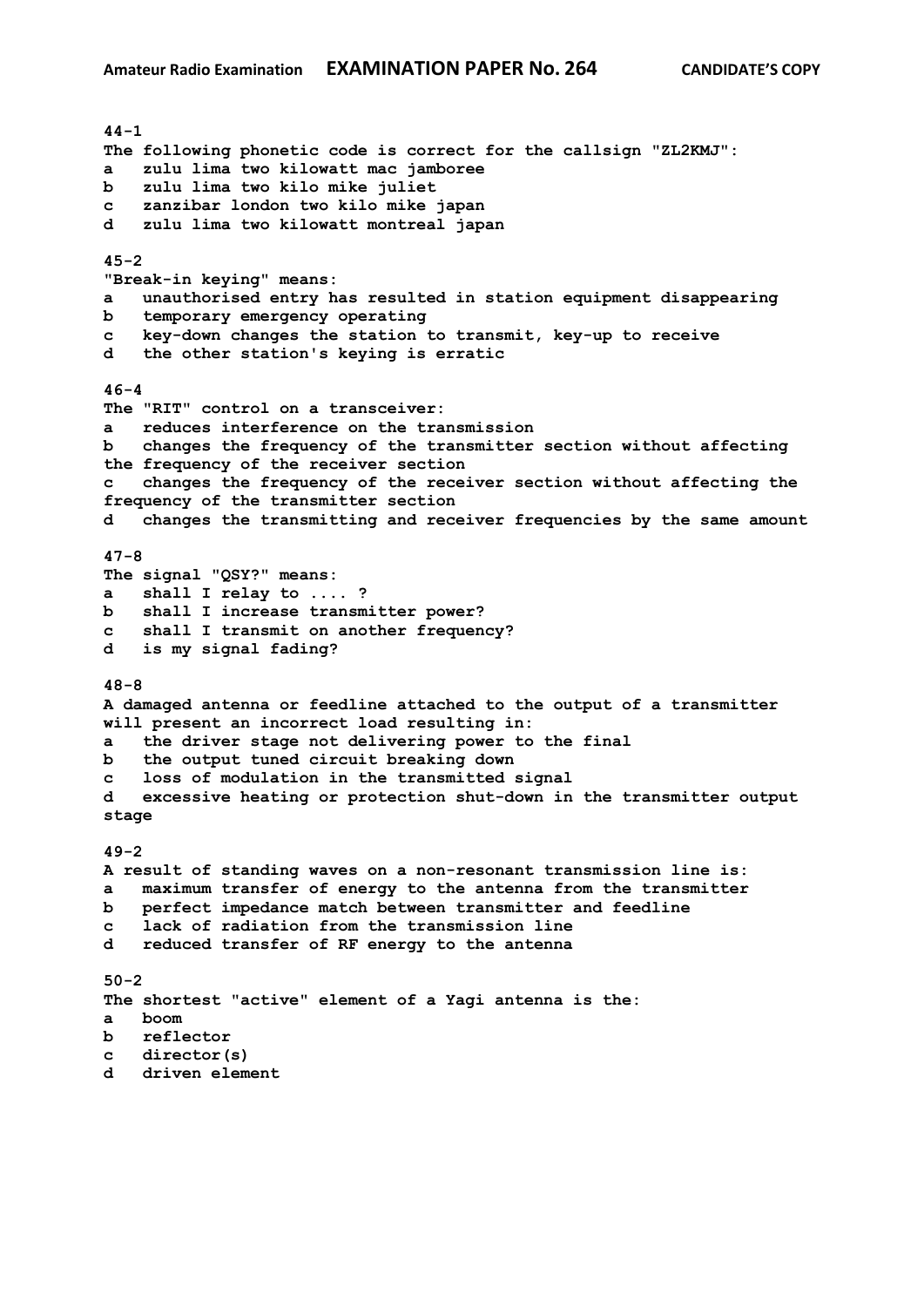**44-1 The following phonetic code is correct for the callsign "ZL2KMJ": a zulu lima two kilowatt mac jamboree b zulu lima two kilo mike juliet c zanzibar london two kilo mike japan d zulu lima two kilowatt montreal japan 45-2 "Break-in keying" means: a unauthorised entry has resulted in station equipment disappearing b temporary emergency operating c key-down changes the station to transmit, key-up to receive d the other station's keying is erratic 46-4 The "RIT" control on a transceiver: a reduces interference on the transmission b changes the frequency of the transmitter section without affecting the frequency of the receiver section c changes the frequency of the receiver section without affecting the frequency of the transmitter section d changes the transmitting and receiver frequencies by the same amount 47-8 The signal "QSY?" means: a shall I relay to .... ? b shall I increase transmitter power? c shall I transmit on another frequency? d is my signal fading? 48-8 A damaged antenna or feedline attached to the output of a transmitter will present an incorrect load resulting in: a the driver stage not delivering power to the final b the output tuned circuit breaking down c loss of modulation in the transmitted signal d excessive heating or protection shut-down in the transmitter output stage 49-2 A result of standing waves on a non-resonant transmission line is: a maximum transfer of energy to the antenna from the transmitter b perfect impedance match between transmitter and feedline c lack of radiation from the transmission line d reduced transfer of RF energy to the antenna 50-2 The shortest "active" element of a Yagi antenna is the: a boom b reflector c director(s) d driven element**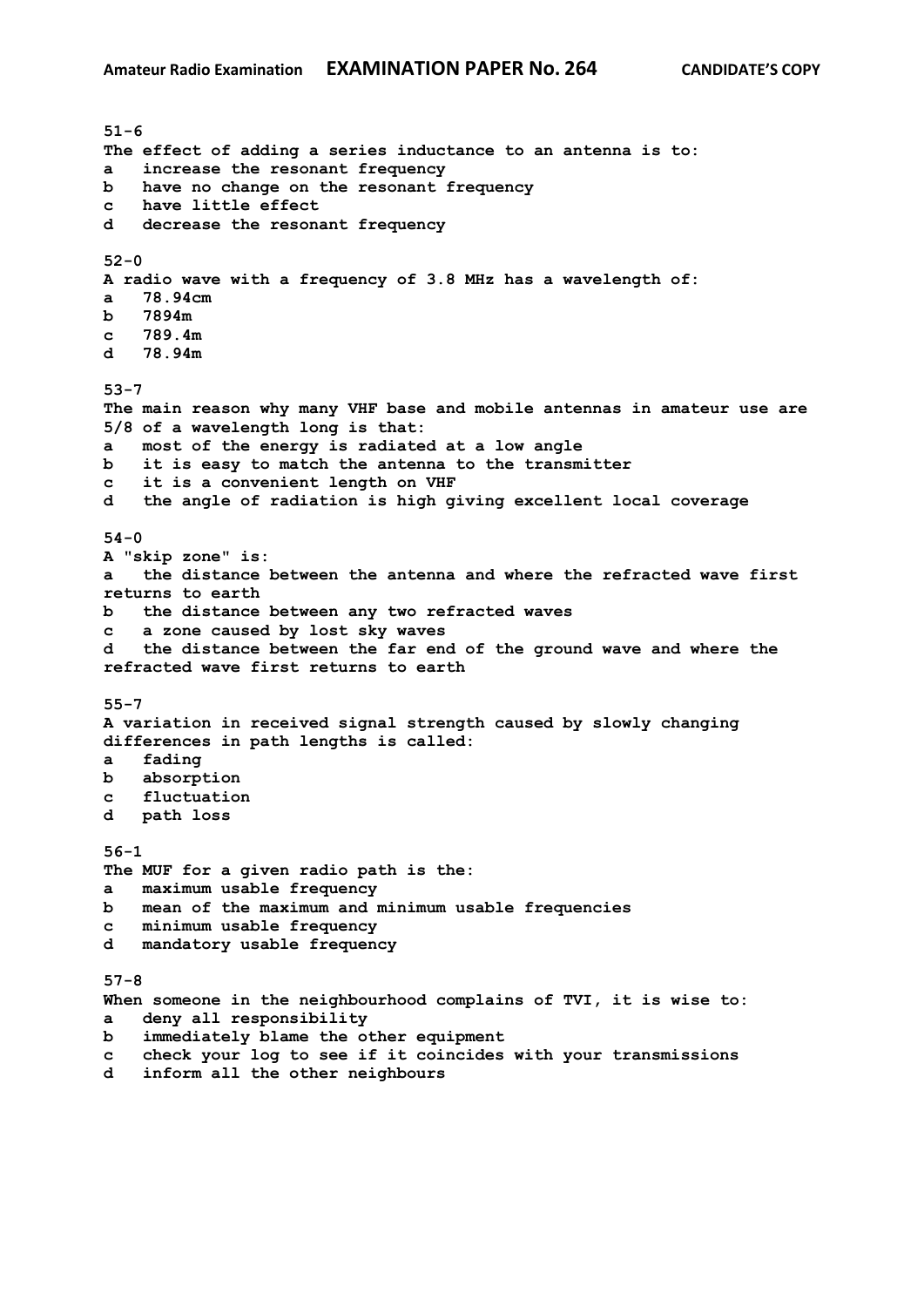**51-6 The effect of adding a series inductance to an antenna is to: a increase the resonant frequency b have no change on the resonant frequency c have little effect d decrease the resonant frequency 52-0 A radio wave with a frequency of 3.8 MHz has a wavelength of: a 78.94cm b 7894m c 789.4m d 78.94m 53-7 The main reason why many VHF base and mobile antennas in amateur use are 5/8 of a wavelength long is that: a most of the energy is radiated at a low angle b it is easy to match the antenna to the transmitter c it is a convenient length on VHF d the angle of radiation is high giving excellent local coverage 54-0 A "skip zone" is: a the distance between the antenna and where the refracted wave first returns to earth b the distance between any two refracted waves c a zone caused by lost sky waves d the distance between the far end of the ground wave and where the refracted wave first returns to earth 55-7 A variation in received signal strength caused by slowly changing differences in path lengths is called: a fading b absorption c fluctuation d path loss 56-1 The MUF for a given radio path is the: a maximum usable frequency b mean of the maximum and minimum usable frequencies c minimum usable frequency d mandatory usable frequency 57-8 When someone in the neighbourhood complains of TVI, it is wise to: a deny all responsibility b immediately blame the other equipment c check your log to see if it coincides with your transmissions d inform all the other neighbours**